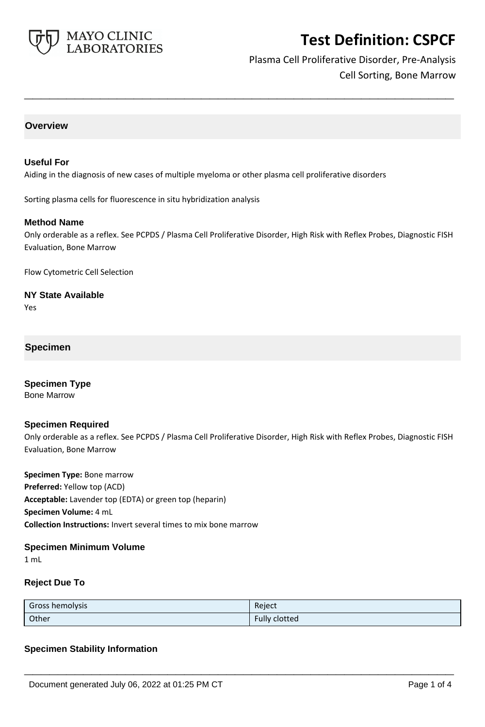

# Plasma Cell Proliferative Disorder, Pre-Analysis Cell Sorting, Bone Marrow

### **Overview**

#### **Useful For**

Aiding in the diagnosis of new cases of multiple myeloma or other plasma cell proliferative disorders

Sorting plasma cells for fluorescence in situ hybridization analysis

#### **Method Name**

Only orderable as a reflex. See PCPDS / Plasma Cell Proliferative Disorder, High Risk with Reflex Probes, Diagnostic FISH Evaluation, Bone Marrow

**\_\_\_\_\_\_\_\_\_\_\_\_\_\_\_\_\_\_\_\_\_\_\_\_\_\_\_\_\_\_\_\_\_\_\_\_\_\_\_\_\_\_\_\_\_\_\_\_\_\_\_**

Flow Cytometric Cell Selection

**NY State Available** Yes

## **Specimen**

**Specimen Type** Bone Marrow

#### **Specimen Required**

Only orderable as a reflex. See PCPDS / Plasma Cell Proliferative Disorder, High Risk with Reflex Probes, Diagnostic FISH Evaluation, Bone Marrow

**Specimen Type:** Bone marrow **Preferred:** Yellow top (ACD) **Acceptable:** Lavender top (EDTA) or green top (heparin) **Specimen Volume:** 4 mL **Collection Instructions:** Invert several times to mix bone marrow

#### **Specimen Minimum Volume**

1 mL

### **Reject Due To**

| Gross hemolysis | Reject               |
|-----------------|----------------------|
| Other           | <b>Fully clotted</b> |

**\_\_\_\_\_\_\_\_\_\_\_\_\_\_\_\_\_\_\_\_\_\_\_\_\_\_\_\_\_\_\_\_\_\_\_\_\_\_\_\_\_\_\_\_\_\_\_\_\_\_\_**

### **Specimen Stability Information**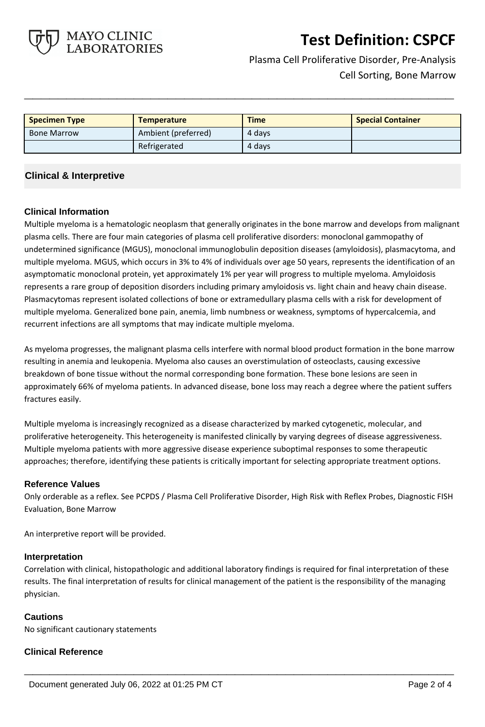

Plasma Cell Proliferative Disorder, Pre-Analysis Cell Sorting, Bone Marrow

| <b>Specimen Type</b> | <b>Temperature</b>  | <b>Time</b> | <b>Special Container</b> |
|----------------------|---------------------|-------------|--------------------------|
| <b>Bone Marrow</b>   | Ambient (preferred) | 4 days      |                          |
|                      | Refrigerated        | 4 days      |                          |

**\_\_\_\_\_\_\_\_\_\_\_\_\_\_\_\_\_\_\_\_\_\_\_\_\_\_\_\_\_\_\_\_\_\_\_\_\_\_\_\_\_\_\_\_\_\_\_\_\_\_\_**

## **Clinical & Interpretive**

### **Clinical Information**

Multiple myeloma is a hematologic neoplasm that generally originates in the bone marrow and develops from malignant plasma cells. There are four main categories of plasma cell proliferative disorders: monoclonal gammopathy of undetermined significance (MGUS), monoclonal immunoglobulin deposition diseases (amyloidosis), plasmacytoma, and multiple myeloma. MGUS, which occurs in 3% to 4% of individuals over age 50 years, represents the identification of an asymptomatic monoclonal protein, yet approximately 1% per year will progress to multiple myeloma. Amyloidosis represents a rare group of deposition disorders including primary amyloidosis vs. light chain and heavy chain disease. Plasmacytomas represent isolated collections of bone or extramedullary plasma cells with a risk for development of multiple myeloma. Generalized bone pain, anemia, limb numbness or weakness, symptoms of hypercalcemia, and recurrent infections are all symptoms that may indicate multiple myeloma.

As myeloma progresses, the malignant plasma cells interfere with normal blood product formation in the bone marrow resulting in anemia and leukopenia. Myeloma also causes an overstimulation of osteoclasts, causing excessive breakdown of bone tissue without the normal corresponding bone formation. These bone lesions are seen in approximately 66% of myeloma patients. In advanced disease, bone loss may reach a degree where the patient suffers fractures easily.

Multiple myeloma is increasingly recognized as a disease characterized by marked cytogenetic, molecular, and proliferative heterogeneity. This heterogeneity is manifested clinically by varying degrees of disease aggressiveness. Multiple myeloma patients with more aggressive disease experience suboptimal responses to some therapeutic approaches; therefore, identifying these patients is critically important for selecting appropriate treatment options.

#### **Reference Values**

Only orderable as a reflex. See PCPDS / Plasma Cell Proliferative Disorder, High Risk with Reflex Probes, Diagnostic FISH Evaluation, Bone Marrow

An interpretive report will be provided.

### **Interpretation**

Correlation with clinical, histopathologic and additional laboratory findings is required for final interpretation of these results. The final interpretation of results for clinical management of the patient is the responsibility of the managing physician.

**\_\_\_\_\_\_\_\_\_\_\_\_\_\_\_\_\_\_\_\_\_\_\_\_\_\_\_\_\_\_\_\_\_\_\_\_\_\_\_\_\_\_\_\_\_\_\_\_\_\_\_**

### **Cautions**

No significant cautionary statements

### **Clinical Reference**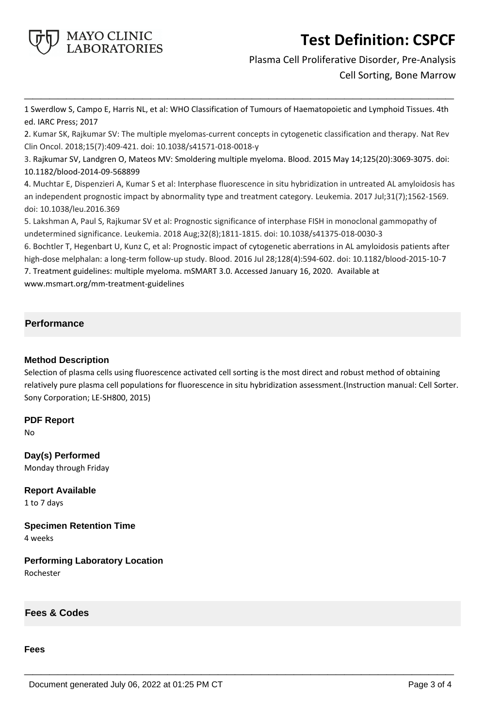

Plasma Cell Proliferative Disorder, Pre-Analysis Cell Sorting, Bone Marrow

1 Swerdlow S, Campo E, Harris NL, et al: WHO Classification of Tumours of Haematopoietic and Lymphoid Tissues. 4th ed. IARC Press; 2017

**\_\_\_\_\_\_\_\_\_\_\_\_\_\_\_\_\_\_\_\_\_\_\_\_\_\_\_\_\_\_\_\_\_\_\_\_\_\_\_\_\_\_\_\_\_\_\_\_\_\_\_**

2. Kumar SK, Rajkumar SV: The multiple myelomas-current concepts in cytogenetic classification and therapy. Nat Rev Clin Oncol. 2018;15(7):409-421. doi: 10.1038/s41571-018-0018-y

3. Rajkumar SV, Landgren O, Mateos MV: Smoldering multiple myeloma. Blood. 2015 May 14;125(20):3069-3075. doi: 10.1182/blood-2014-09-568899

4. Muchtar E, Dispenzieri A, Kumar S et al: Interphase fluorescence in situ hybridization in untreated AL amyloidosis has an independent prognostic impact by abnormality type and treatment category. Leukemia. 2017 Jul;31(7);1562-1569. doi: 10.1038/leu.2016.369

5. Lakshman A, Paul S, Rajkumar SV et al: Prognostic significance of interphase FISH in monoclonal gammopathy of undetermined significance. Leukemia. 2018 Aug;32(8);1811-1815. doi: 10.1038/s41375-018-0030-3

6. Bochtler T, Hegenbart U, Kunz C, et al: Prognostic impact of cytogenetic aberrations in AL amyloidosis patients after high-dose melphalan: a long-term follow-up study. Blood. 2016 Jul 28;128(4):594-602. doi: 10.1182/blood-2015-10-7 7. Treatment guidelines: multiple myeloma. mSMART 3.0. Accessed January 16, 2020. Available at www.msmart.org/mm-treatment-guidelines

# **Performance**

### **Method Description**

Selection of plasma cells using fluorescence activated cell sorting is the most direct and robust method of obtaining relatively pure plasma cell populations for fluorescence in situ hybridization assessment.(Instruction manual: Cell Sorter. Sony Corporation; LE-SH800, 2015)

**\_\_\_\_\_\_\_\_\_\_\_\_\_\_\_\_\_\_\_\_\_\_\_\_\_\_\_\_\_\_\_\_\_\_\_\_\_\_\_\_\_\_\_\_\_\_\_\_\_\_\_**

### **PDF Report**

No

**Day(s) Performed** Monday through Friday

**Report Available** 1 to 7 days

**Specimen Retention Time** 4 weeks

**Performing Laboratory Location** Rochester

**Fees & Codes**

### **Fees**